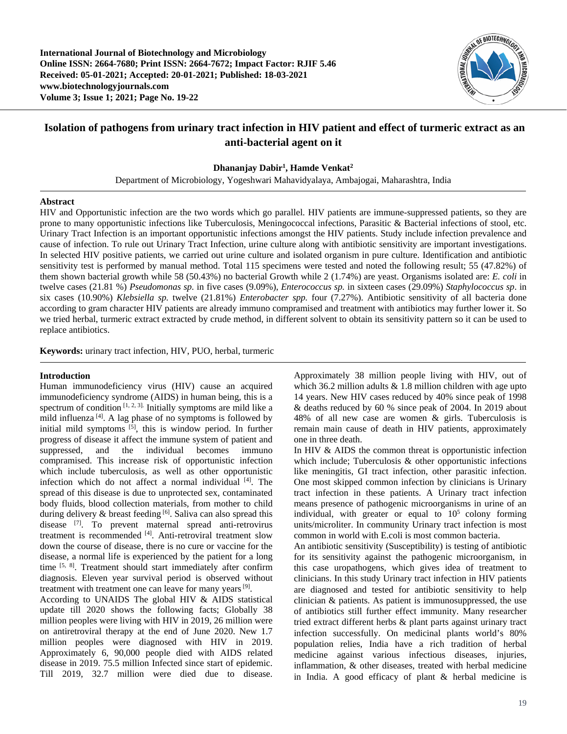**International Journal of Biotechnology and Microbiology Online ISSN: 2664-7680; Print ISSN: 2664-7672; Impact Factor: RJIF 5.46 Received: 05-01-2021; Accepted: 20-01-2021; Published: 18-03-2021 www.biotechnologyjournals.com Volume 3; Issue 1; 2021; Page No. 19-22**



# **Isolation of pathogens from urinary tract infection in HIV patient and effect of turmeric extract as an anti-bacterial agent on it**

**Dhananjay Dabir1 , Hamde Venkat2**

Department of Microbiology, Yogeshwari Mahavidyalaya, Ambajogai, Maharashtra, India

#### **Abstract**

HIV and Opportunistic infection are the two words which go parallel. HIV patients are immune-suppressed patients, so they are prone to many opportunistic infections like Tuberculosis, Meningococcal infections, Parasitic & Bacterial infections of stool, etc. Urinary Tract Infection is an important opportunistic infections amongst the HIV patients. Study include infection prevalence and cause of infection. To rule out Urinary Tract Infection, urine culture along with antibiotic sensitivity are important investigations. In selected HIV positive patients, we carried out urine culture and isolated organism in pure culture. Identification and antibiotic sensitivity test is performed by manual method. Total 115 specimens were tested and noted the following result; 55 (47.82%) of them shown bacterial growth while 58 (50.43%) no bacterial Growth while 2 (1.74%) are yeast. Organisms isolated are: *E. coli* in twelve cases (21.81 %) *Pseudomonas sp.* in five cases (9.09%), *Enterococcus sp.* in sixteen cases (29.09%) *Staphylococcus sp*. in six cases (10.90%) *Klebsiella sp.* twelve (21.81%) *Enterobacter spp.* four (7.27%). Antibiotic sensitivity of all bacteria done according to gram character HIV patients are already immuno compramised and treatment with antibiotics may further lower it. So we tried herbal, turmeric extract extracted by crude method, in different solvent to obtain its sensitivity pattern so it can be used to replace antibiotics.

**Keywords:** urinary tract infection, HIV, PUO, herbal, turmeric

#### **Introduction**

Human immunodeficiency virus (HIV) cause an acquired immunodeficiency syndrome (AIDS) in human being, this is a spectrum of condition  $[1, 2, 3]$ . Initially symptoms are mild like a mild influenza  $[4]$ . A lag phase of no symptoms is followed by initial mild symptoms  $[5]$ , this is window period. In further progress of disease it affect the immune system of patient and suppressed, and the individual becomes immuno compramised. This increase risk of opportunistic infection which include tuberculosis, as well as other opportunistic infection which do not affect a normal individual [4]. The spread of this disease is due to unprotected sex, contaminated body fluids, blood collection materials, from mother to child during delivery & breast feeding [6]. Saliva can also spread this disease [7]. To prevent maternal spread anti-retrovirus treatment is recommended [4]. Anti-retroviral treatment slow down the course of disease, there is no cure or vaccine for the disease, a normal life is experienced by the patient for a long time <sup>[5, 8]</sup>. Treatment should start immediately after confirm diagnosis. Eleven year survival period is observed without treatment with treatment one can leave for many years  $[9]$ .

According to UNAIDS The global HIV & AIDS statistical update till 2020 shows the following facts; Globally 38 million peoples were living with HIV in 2019, 26 million were on antiretroviral therapy at the end of June 2020. New 1.7 million peoples were diagnosed with HIV in 2019. Approximately 6, 90,000 people died with AIDS related disease in 2019. 75.5 million Infected since start of epidemic. Till 2019, 32.7 million were died due to disease.

Approximately 38 million people living with HIV, out of which 36.2 million adults  $& 1.8$  million children with age upto 14 years. New HIV cases reduced by 40% since peak of 1998 & deaths reduced by 60 % since peak of 2004. In 2019 about 48% of all new case are women & girls. Tuberculosis is remain main cause of death in HIV patients, approximately one in three death.

In HIV & AIDS the common threat is opportunistic infection which include; Tuberculosis & other opportunistic infections like meningitis, GI tract infection, other parasitic infection. One most skipped common infection by clinicians is Urinary tract infection in these patients. A Urinary tract infection means presence of pathogenic microorganisms in urine of an individual, with greater or equal to  $10<sup>5</sup>$  colony forming units/microliter. In community Urinary tract infection is most common in world with E.coli is most common bacteria.

An antibiotic sensitivity (Susceptibility) is testing of antibiotic for its sensitivity against the pathogenic microorganism, in this case uropathogens, which gives idea of treatment to clinicians. In this study Urinary tract infection in HIV patients are diagnosed and tested for antibiotic sensitivity to help clinician & patients. As patient is immunosuppressed, the use of antibiotics still further effect immunity. Many researcher tried extract different herbs & plant parts against urinary tract infection successfully. On medicinal plants world's 80% population relies, India have a rich tradition of herbal medicine against various infectious diseases, injuries, inflammation, & other diseases, treated with herbal medicine in India. A good efficacy of plant & herbal medicine is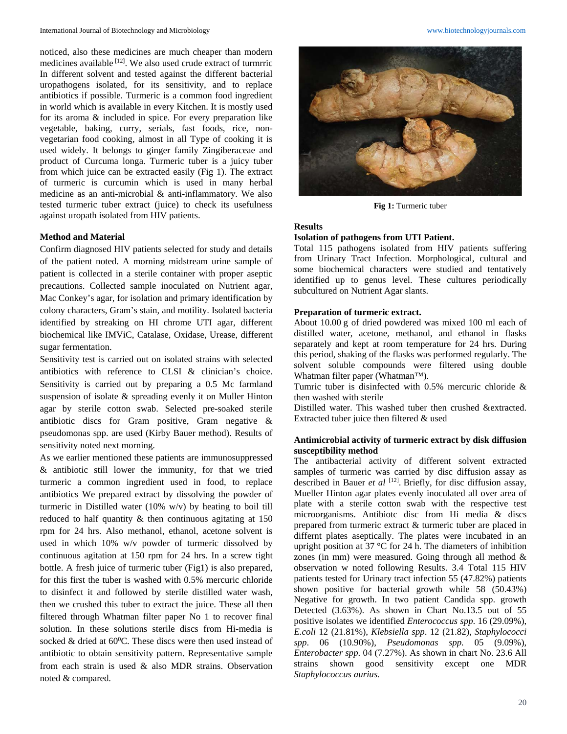noticed, also these medicines are much cheaper than modern medicines available  $[12]$ . We also used crude extract of turmrric In different solvent and tested against the different bacterial uropathogens isolated, for its sensitivity, and to replace antibiotics if possible. Turmeric is a common food ingredient in world which is available in every Kitchen. It is mostly used for its aroma & included in spice. For every preparation like vegetable, baking, curry, serials, fast foods, rice, nonvegetarian food cooking, almost in all Type of cooking it is used widely. It belongs to ginger family Zingiberaceae and product of Curcuma longa. Turmeric tuber is a juicy tuber from which juice can be extracted easily (Fig 1). The extract of turmeric is curcumin which is used in many herbal medicine as an anti-microbial & anti-inflammatory. We also tested turmeric tuber extract (juice) to check its usefulness against uropath isolated from HIV patients.

# **Method and Material**

Confirm diagnosed HIV patients selected for study and details of the patient noted. A morning midstream urine sample of patient is collected in a sterile container with proper aseptic precautions. Collected sample inoculated on Nutrient agar, Mac Conkey's agar, for isolation and primary identification by colony characters, Gram's stain, and motility. Isolated bacteria identified by streaking on HI chrome UTI agar, different biochemical like IMViC, Catalase, Oxidase, Urease, different sugar fermentation.

Sensitivity test is carried out on isolated strains with selected antibiotics with reference to CLSI & clinician's choice. Sensitivity is carried out by preparing a 0.5 Mc farmland suspension of isolate & spreading evenly it on Muller Hinton agar by sterile cotton swab. Selected pre-soaked sterile antibiotic discs for Gram positive, Gram negative & pseudomonas spp. are used (Kirby Bauer method). Results of sensitivity noted next morning.

As we earlier mentioned these patients are immunosuppressed & antibiotic still lower the immunity, for that we tried turmeric a common ingredient used in food, to replace antibiotics We prepared extract by dissolving the powder of turmeric in Distilled water (10% w/v) by heating to boil till reduced to half quantity & then continuous agitating at 150 rpm for 24 hrs. Also methanol, ethanol, acetone solvent is used in which 10% w/v powder of turmeric dissolved by continuous agitation at 150 rpm for 24 hrs. In a screw tight bottle. A fresh juice of turmeric tuber (Fig1) is also prepared, for this first the tuber is washed with 0.5% mercuric chloride to disinfect it and followed by sterile distilled water wash, then we crushed this tuber to extract the juice. These all then filtered through Whatman filter paper No 1 to recover final solution. In these solutions sterile discs from Hi-media is socked  $&$  dried at 60°C. These discs were then used instead of antibiotic to obtain sensitivity pattern. Representative sample from each strain is used & also MDR strains. Observation noted & compared.



**Fig 1:** Turmeric tuber

#### **Results**

## **Isolation of pathogens from UTI Patient.**

Total 115 pathogens isolated from HIV patients suffering from Urinary Tract Infection. Morphological, cultural and some biochemical characters were studied and tentatively identified up to genus level. These cultures periodically subcultured on Nutrient Agar slants.

# **Preparation of turmeric extract.**

About 10.00 g of dried powdered was mixed 100 ml each of distilled water, acetone, methanol, and ethanol in flasks separately and kept at room temperature for 24 hrs. During this period, shaking of the flasks was performed regularly. The solvent soluble compounds were filtered using double Whatman filter paper (Whatman™).

Tumric tuber is disinfected with 0.5% mercuric chloride & then washed with sterile

Distilled water. This washed tuber then crushed &extracted. Extracted tuber juice then filtered & used

# **Antimicrobial activity of turmeric extract by disk diffusion susceptibility method**

The antibacterial activity of different solvent extracted samples of turmeric was carried by disc diffusion assay as described in Bauer *et al* <sup>[12]</sup>. Briefly, for disc diffusion assay, Mueller Hinton agar plates evenly inoculated all over area of plate with a sterile cotton swab with the respective test microorganisms. Antibiotc disc from Hi media & discs prepared from turmeric extract & turmeric tuber are placed in differnt plates aseptically. The plates were incubated in an upright position at 37 °C for 24 h. The diameters of inhibition zones (in mm) were measured. Going through all method  $\&$ observation w noted following Results. 3.4 Total 115 HIV patients tested for Urinary tract infection 55 (47.82%) patients shown positive for bacterial growth while 58 (50.43%) Negative for growth. In two patient Candida spp. growth Detected (3.63%). As shown in Chart No.13.5 out of 55 positive isolates we identified *Enterococcus spp*. 16 (29.09%), *E.coli* 12 (21.81%), *Klebsiella spp*. 12 (21.82), *Staphylococci spp*. 06 (10.90%), *Pseudomonas spp.* 05 (9.09%), *Enterobacter spp*. 04 (7.27%). As shown in chart No. 23.6 All strains shown good sensitivity except one MDR *Staphylococcus aurius.*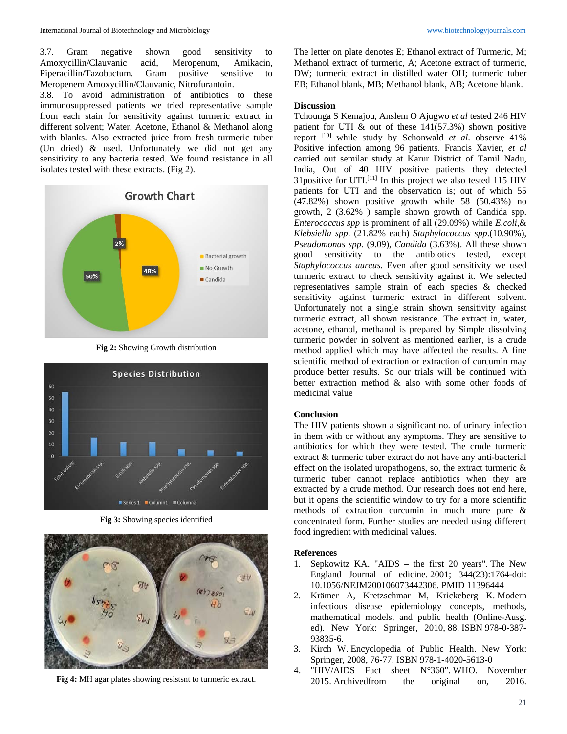3.7. Gram negative shown good sensitivity to Amoxycillin/Clauvanic acid, Meropenum, Amikacin, Piperacillin/Tazobactum. Gram positive sensitive to Meropenem Amoxycillin/Clauvanic, Nitrofurantoin.

3.8. To avoid administration of antibiotics to these immunosuppressed patients we tried representative sample from each stain for sensitivity against turmeric extract in different solvent; Water, Acetone, Ethanol & Methanol along with blanks. Also extracted juice from fresh turmeric tuber (Un dried) & used. Unfortunately we did not get any sensitivity to any bacteria tested. We found resistance in all isolates tested with these extracts. (Fig 2).



**Fig 2:** Showing Growth distribution



**Fig 3:** Showing species identified



**Fig 4:** MH agar plates showing resistsnt to turmeric extract.

The letter on plate denotes E; Ethanol extract of Turmeric, M; Methanol extract of turmeric, A; Acetone extract of turmeric, DW; turmeric extract in distilled water OH; turmeric tuber EB; Ethanol blank, MB; Methanol blank, AB; Acetone blank.

## **Discussion**

Tchounga S Kemajou, Anslem O Ajugwo *et al* tested 246 HIV patient for UTI  $\&$  out of these 141(57.3%) shown positive report [10] while study by Schonwald *et al*. observe 41% Positive infection among 96 patients. Francis Xavier, *et al* carried out semilar study at Karur District of Tamil Nadu, India, Out of 40 HIV positive patients they detected 31 positive for UTI.<sup>[11]</sup> In this project we also tested 115 HIV patients for UTI and the observation is; out of which 55 (47.82%) shown positive growth while 58 (50.43%) no growth, 2 (3.62% ) sample shown growth of Candida spp. *Enterococcus spp* is prominent of all (29.09%) while *E.coli*,& *Klebsiella spp*. (21.82% each) *Staphylococcus spp*.(10.90%), *Pseudomonas spp.* (9.09), *Candida* (3.63%). All these shown good sensitivity to the antibiotics tested, except *Staphylococcus aureus.* Even after good sensitivity we used turmeric extract to check sensitivity against it. We selected representatives sample strain of each species & checked sensitivity against turmeric extract in different solvent. Unfortunately not a single strain shown sensitivity against turmeric extract, all shown resistance. The extract in, water, acetone, ethanol, methanol is prepared by Simple dissolving turmeric powder in solvent as mentioned earlier, is a crude method applied which may have affected the results. A fine scientific method of extraction or extraction of curcumin may produce better results. So our trials will be continued with better extraction method & also with some other foods of medicinal value

# **Conclusion**

The HIV patients shown a significant no. of urinary infection in them with or without any symptoms. They are sensitive to antibiotics for which they were tested. The crude turmeric extract & turmeric tuber extract do not have any anti-bacterial effect on the isolated uropathogens, so, the extract turmeric & turmeric tuber cannot replace antibiotics when they are extracted by a crude method. Our research does not end here, but it opens the scientific window to try for a more scientific methods of extraction curcumin in much more pure & concentrated form. Further studies are needed using different food ingredient with medicinal values.

## **References**

- 1. Sepkowitz KA. "AIDS the first 20 years". The New England Journal of edicine. 2001; 344(23):1764-doi: 10.1056/NEJM200106073442306. PMID 11396444
- 2. Krämer A, Kretzschmar M, Krickeberg K. Modern infectious disease epidemiology concepts, methods, mathematical models, and public health (Online-Ausg. ed). New York: Springer, 2010, 88. ISBN 978-0-387- 93835-6.
- 3. Kirch W. Encyclopedia of Public Health. New York: Springer, 2008, 76-77. ISBN 978-1-4020-5613-0
- 4. "HIV/AIDS Fact sheet N°360". WHO. November 2015. Archivedfrom the original on, 2016.